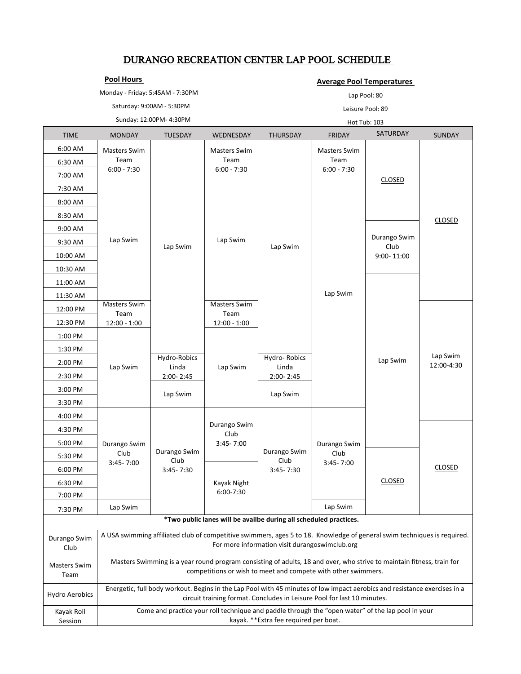## DURANGO RECREATION CENTER LAP POOL SCHEDULE

Session

Monday - Friday: 5:45AM - 7:30PM

## **Pool Hours Pool Hours Average Pool Temperatures**

Lap Pool: 80

Saturday: 9:00AM - 5:30PM Sunday: 12:00PM- 4:30PM Leisure Pool: 89 Hot Tub: 103

TIME MONDAY TUESDAY WEDNESDAY THURSDAY FRIDAY SATURDAY SUNDAY 6:00 AM 6:30 AM 7:00 AM 7:30 AM 8:00 AM 8:30 AM 9:00 AM 9:30 AM 10:00 AM 10:30 AM 11:00 AM 11:30 AM 12:00 PM 12:30 PM 1:00 PM 1:30 PM 2:00 PM 2:30 PM 3:00 PM 3:30 PM 4:00 PM 4:30 PM 5:00 PM 5:30 PM 6:00 PM 6:30 PM 7:00 PM 7:30 PM Lap Swim Durango Swim Club A USA swimming affiliated club of competitive swimmers, ages 5 to 18. Knowledge of general swim techniques is required. For more information visit durangoswimclub.org Masters Swim Team Masters Swimming is a year round program consisting of adults, 18 and over, who strive to maintain fitness, train for competitions or wish to meet and compete with other swimmers. Lap Swim Durango Swim Club 3:45- 7:00 Lap Swim  $\vert$  Lap Swim Durango Swim Club 3:45- 7:00 CLOSED Lap Swim  **\*Two public lanes will be availbe during all scheduled practices.**  Masters Swim Team 12:00 - 1:00 Durango Swim Club 3:45- 7:30 Durango Swim Club 3:45- 7:30 CLOSED Kayak Roll Come and practice your roll technique and paddle through the "open water" of the lap pool in your Masters Swim Team 12:00 - 1:00 Hydro- Robics Linda 2:00- 2:45 Hydro-Robics Linda 2:00- 2:45 Lap Swim Hydro Aerobics Energetic, full body workout. Begins in the Lap Pool with 45 minutes of low impact aerobics and resistance exercises in a circuit training format. Concludes in Leisure Pool for last 10 minutes. Lap Swim | Linda | Lap Swim Lap Swim Masters Swim Team 6:00 - 7:30 Masters Swim Team 6:00 - 7:30 Masters Swim Team 6:00 - 7:30 Lap Swim Lap Swim 12:00-4:30 CLOSED Durango Swim Club 3:45- 7:00 Durango Swim Club 9:00- 11:00 Lap Swim Kayak Night 6:00-7:30 Lap Swim CLOSED

kayak. \*\*Extra fee required per boat.